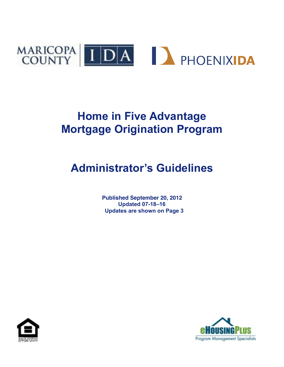

# **Home in Five Advantage Mortgage Origination Program**

# **Administrator's Guidelines**

**Published September 20, 2012 Updated 07-18–16 Updates are shown on Page 3**



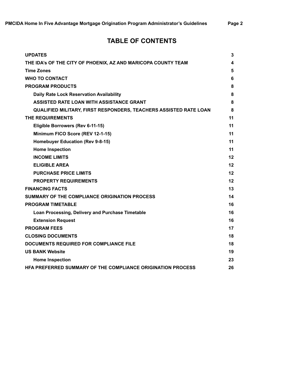# **TABLE OF CONTENTS**

| <b>UPDATES</b>                                                           | 3  |
|--------------------------------------------------------------------------|----|
| THE IDA's OF THE CITY OF PHOENIX, AZ AND MARICOPA COUNTY TEAM            | 4  |
| <b>Time Zones</b>                                                        | 5  |
| <b>WHO TO CONTACT</b>                                                    | 6  |
| <b>PROGRAM PRODUCTS</b>                                                  | 8  |
| Daily Rate Lock Reservation Availability                                 | 8  |
| ASSISTED RATE LOAN WITH ASSISTANCE GRANT                                 | 8  |
| <b>QUALIFIED MILITARY, FIRST RESPONDERS, TEACHERS ASSISTED RATE LOAN</b> | 8  |
| <b>THE REQUIREMENTS</b>                                                  | 11 |
| Eligible Borrowers (Rev 6-11-15)                                         | 11 |
| Minimum FICO Score (REV 12-1-15)                                         | 11 |
| Homebuyer Education (Rev 9-8-15)                                         | 11 |
| <b>Home Inspection</b>                                                   | 11 |
| <b>INCOME LIMITS</b>                                                     | 12 |
| <b>ELIGIBLE AREA</b>                                                     | 12 |
| <b>PURCHASE PRICE LIMITS</b>                                             | 12 |
| <b>PROPERTY REQUIREMENTS</b>                                             | 12 |
| <b>FINANCING FACTS</b>                                                   | 13 |
| SUMMARY OF THE COMPLIANCE ORIGINATION PROCESS                            | 14 |
| <b>PROGRAM TIMETABLE</b>                                                 | 16 |
| Loan Processing, Delivery and Purchase Timetable                         | 16 |
| <b>Extension Request</b>                                                 | 16 |
| <b>PROGRAM FEES</b>                                                      | 17 |
| <b>CLOSING DOCUMENTS</b>                                                 | 18 |
| DOCUMENTS REQUIRED FOR COMPLIANCE FILE                                   | 18 |
| <b>US BANK Website</b>                                                   | 19 |
| <b>Home Inspection</b>                                                   | 23 |
| HFA PREFERRED SUMMARY OF THE COMPLIANCE ORIGINATION PROCESS              | 26 |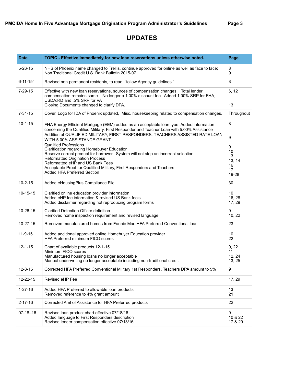# **UPDATES**

| <b>Date</b>    | TOPIC - Effective Immediately for new loan reservations unless otherwise noted.                                                                                                                                                                                                                                                                                                                                                                                                                                                                                                                                                                                         | Page                                                   |
|----------------|-------------------------------------------------------------------------------------------------------------------------------------------------------------------------------------------------------------------------------------------------------------------------------------------------------------------------------------------------------------------------------------------------------------------------------------------------------------------------------------------------------------------------------------------------------------------------------------------------------------------------------------------------------------------------|--------------------------------------------------------|
| $5 - 26 - 15$  | NHS of Phoenix name changed to Trellis, continue approved for online as well as face to face;<br>Non Traditional Credit U.S. Bank Bulletin 2015-07                                                                                                                                                                                                                                                                                                                                                                                                                                                                                                                      | 8<br>9                                                 |
| $6 - 11 - 15$  | Revised non-permanent residents, to read "follow Agency guidelines."                                                                                                                                                                                                                                                                                                                                                                                                                                                                                                                                                                                                    | 8                                                      |
| 7-29-15        | Effective with new loan reservations, sources of compensation changes. Total lender<br>compensation remains same. No longer a 1.00% discount fee. Added 1.00% SRP for FHA,<br>USDA:RD and .5% SRP for VA<br>Closing Documents changed to clarify DPA.                                                                                                                                                                                                                                                                                                                                                                                                                   | 6, 12<br>13                                            |
| $7 - 31 - 15$  | Cover, Logo for IDA of Phoenix updated, Misc. housekeeping related to compensation changes.                                                                                                                                                                                                                                                                                                                                                                                                                                                                                                                                                                             | Throughout                                             |
| $10 - 1 - 15$  | FHA Energy Efficient Mortgage (EEM) added as an acceptable loan type; Added information<br>concerning the Qualified Military, First Responder and Teacher Loan with 5.00% Assistance<br>Addition of QUALIFIED MILITARY, FIRST RESPONDERS, TEACHERS ASSISTED RATE LOAN<br>WITH 5.00% ASSISTANCE GRANT<br><b>Qualified Professions</b><br>Clarification regarding Homebuyer Education<br>Reserve correct product for borrower. System will not stop an incorrect selection.<br><b>Reformatted Origination Process</b><br>Reformatted eHP and US Bank Fees<br>Acceptable Proof for Qualified Military, First Responders and Teachers<br><b>Added HFA Preferred Section</b> | 8<br>9<br>9<br>10<br>13<br>13, 14<br>16<br>17<br>19-28 |
| $10 - 2 - 15$  | Added eHousingPlus Compliance File                                                                                                                                                                                                                                                                                                                                                                                                                                                                                                                                                                                                                                      | 30                                                     |
| 10-15-15       | Clarified online education provider information<br>Added eHP fee information & revised US Bank fee's<br>Added disclaimer regarding not reproducing program forms                                                                                                                                                                                                                                                                                                                                                                                                                                                                                                        | 10<br>16, 28<br>17, 29                                 |
| 10-26-15       | <b>Clarified Detention Officer definition</b><br>Removed home inspection requirement and revised language                                                                                                                                                                                                                                                                                                                                                                                                                                                                                                                                                               | 9<br>10, 22                                            |
| $10 - 27 - 15$ | Removed manufactured homes from Fannie Mae HFA Preferred Conventional loan                                                                                                                                                                                                                                                                                                                                                                                                                                                                                                                                                                                              | 23                                                     |
| $11 - 9 - 15$  | Added additional approved online Homebuyer Education provider<br><b>HFA Preferred minimum FICO scores</b>                                                                                                                                                                                                                                                                                                                                                                                                                                                                                                                                                               | 10<br>22                                               |
| $12 - 1 - 15$  | Chart of available products 12-1-15<br>Minimum FICO scores<br>Manufactured housing loans no longer acceptable<br>Manual underwriting no longer acceptable including non-traditional credit                                                                                                                                                                                                                                                                                                                                                                                                                                                                              | 9, 22<br>11<br>12, 24<br>13, 25                        |
| $12 - 3 - 15$  | Corrected HFA Preferred Conventional Military 1st Responders, Teachers DPA amount to 5%                                                                                                                                                                                                                                                                                                                                                                                                                                                                                                                                                                                 | 9                                                      |
| 12-22-15       | Revised eHP Fee                                                                                                                                                                                                                                                                                                                                                                                                                                                                                                                                                                                                                                                         | 17, 29                                                 |
| $1 - 27 - 16$  | Added HFA Preferred to allowable loan products<br>Removed reference to 4% grant amount                                                                                                                                                                                                                                                                                                                                                                                                                                                                                                                                                                                  | 13<br>21                                               |
| 2-17-16        | Corrected Amt of Assistance for HFA Preferred products                                                                                                                                                                                                                                                                                                                                                                                                                                                                                                                                                                                                                  | 22                                                     |
| $07-18-16$     | Revised loan product chart effective 07/18/16<br>Added language to First Responders description<br>Revised lender compensation effective 07/18/16                                                                                                                                                                                                                                                                                                                                                                                                                                                                                                                       | 9<br>10 & 22<br>17 & 29                                |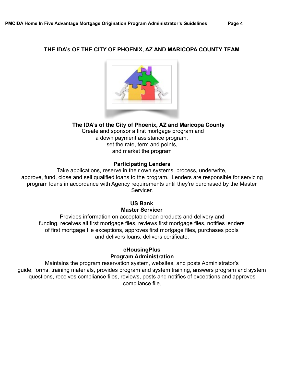## **THE IDA's OF THE CITY OF PHOENIX, AZ AND MARICOPA COUNTY TEAM**



## **The IDA's of the City of Phoenix, AZ and Maricopa County**

Create and sponsor a first mortgage program and a down payment assistance program, set the rate, term and points, and market the program

## **Participating Lenders**

Take applications, reserve in their own systems, process, underwrite, approve, fund, close and sell qualified loans to the program. Lenders are responsible for servicing program loans in accordance with Agency requirements until they're purchased by the Master Servicer.

# **US Bank Master Servicer**

Provides information on acceptable loan products and delivery and funding, receives all first mortgage files, reviews first mortgage files, notifies lenders of first mortgage file exceptions, approves first mortgage files, purchases pools and delivers loans, delivers certificate.

# **eHousingPlus Program Administration**

Maintains the program reservation system, websites, and posts Administrator's guide, forms, training materials, provides program and system training, answers program and system questions, receives compliance files, reviews, posts and notifies of exceptions and approves compliance file.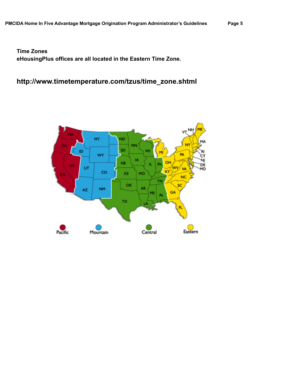**Time Zones eHousingPlus offices are all located in the Eastern Time Zone.** 

# **[http://www.timetemperature.com/tzus/time\\_zone.shtml](http://www.timetemperature.com/tzus/time_zone.shtml)**

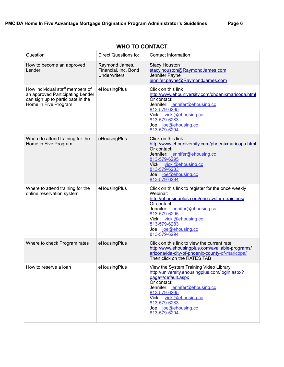| Question                                                                                                                         | Direct Questions to:                                          | <b>Contact Information</b>                                                                                                                                                                                                                                          |
|----------------------------------------------------------------------------------------------------------------------------------|---------------------------------------------------------------|---------------------------------------------------------------------------------------------------------------------------------------------------------------------------------------------------------------------------------------------------------------------|
| How to become an approved<br>Lender                                                                                              | Raymond James,<br>Financial, Inc, Bond<br><b>Underwriters</b> | <b>Stacy Houston</b><br>stacy.houston@RaymondJames.com<br>Jennifer Payne<br>jennifer.payne@RaymondJames.com                                                                                                                                                         |
| How individual staff members of<br>an approved Participating Lender<br>can sign up to participate in the<br>Home in Five Program | eHousingPlus                                                  | Click on this link<br>http://www.ehpuniversity.com/phoenixmaricopa.html<br>Or contact:<br>Jennifer: jennifer@ehousing.cc<br>813-579-6295<br>Vicki vicki@ehousing.cc<br>813-579-6283<br>Joe: joe@ehousing.cc<br>813-579-6294                                         |
| Where to attend training for the<br>Home in Five Program                                                                         | eHousingPlus                                                  | Click on this link<br>http://www.ehpuniversity.com/phoenixmaricopa.html<br>Or contact:<br>Jennifer: jennifer@ehousing.cc<br>813-579-6295<br>Vicki vicki@ehousing.cc<br>813-579-6283<br>Joe: joe@ehousing.cc<br>813-579-6294                                         |
| Where to attend training for the<br>online reservation system                                                                    | eHousingPlus                                                  | Click on this link to register for the once weekly<br>Webinar:<br>http://ehousingplus.com/ehp-system-trainings/<br>Or contact:<br>Jennifer: jennifer@ehousing.cc<br>813-579-6295<br>Vicki vicki@ehousing.cc<br>813-579-6283<br>Joe: joe@ehousing.cc<br>813-579-6294 |
| Where to check Program rates                                                                                                     | eHousingPlus                                                  | Click on this link to view the current rate:<br>http://www.ehousingplus.com/available-programs/<br>arizona/ida-city-of-phoenix-county-of-maricopa/<br>Then click on the RATES TAB                                                                                   |
| How to reserve a loan                                                                                                            | eHousingPlus                                                  | View the System Training Video Library<br>http://university.ehousingplus.com/login.aspx?<br>page=/default.aspx<br>Or contact:<br>Jennifer: jennifer@ehousing.cc<br>813-579-6295<br>Vicki vicki@ehousing.cc<br>813-579-6283<br>Joe: joe@ehousing.cc<br>813-579-6294  |

# **WHO TO CONTACT**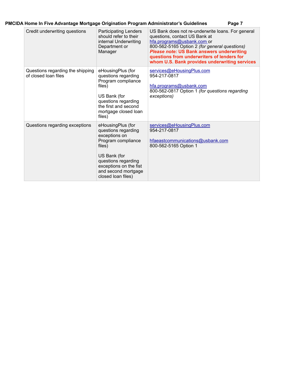| Credit underwriting questions                            | <b>Participating Lenders</b><br>should refer to their<br>internal Underwriting<br>Department or<br>Manager                                                                                              | US Bank does not re-underwrite loans. For general<br>questions, contact US Bank at<br>hfa.programs@usbank.com or<br>800-562-5165 Option 2 (for general questions)<br>Please note: US Bank answers underwriting<br>questions from underwriters of lenders for<br>whom U.S. Bank provides underwriting services |
|----------------------------------------------------------|---------------------------------------------------------------------------------------------------------------------------------------------------------------------------------------------------------|---------------------------------------------------------------------------------------------------------------------------------------------------------------------------------------------------------------------------------------------------------------------------------------------------------------|
| Questions regarding the shipping<br>of closed loan files | eHousingPlus (for<br>questions regarding<br>Program compliance<br>files)<br>US Bank (for<br>questions regarding<br>the first and second<br>mortgage closed loan<br>files)                               | services@eHousingPlus.com<br>954-217-0817<br>hfa.programs@usbank.com<br>800-562-0817 Option 1 (for questions regarding<br>exceptions)                                                                                                                                                                         |
| Questions regarding exceptions                           | eHousingPlus (for<br>questions regarding<br>exceptions on<br>Program compliance<br>files)<br>US Bank (for<br>questions regarding<br>exceptions on the fist<br>and second mortgage<br>closed loan files) | services@eHousingPlus.com<br>954-217-0817<br>hfaeastcommunications@usbank.com<br>800-562-5165 Option 1                                                                                                                                                                                                        |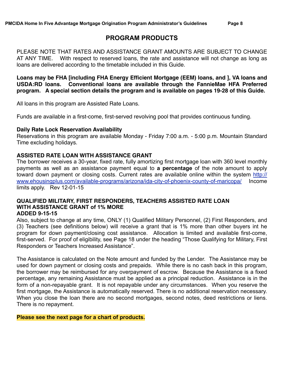# **PROGRAM PRODUCTS**

PLEASE NOTE THAT RATES AND ASSISTANCE GRANT AMOUNTS ARE SUBJECT TO CHANGE AT ANY TIME. With respect to reserved loans, the rate and assistance will not change as long as loans are delivered according to the timetable included in this Guide.

**Loans may be FHA [including FHA Energy Efficient Mortgage (EEM) loans, and ], VA loans and USDA:RD loans. Conventional loans are available through the FannieMae HFA Preferred program. A special section details the program and is available on pages 19-28 of this Guide.**

All loans in this program are Assisted Rate Loans.

Funds are available in a first-come, first-served revolving pool that provides continuous funding.

#### **Daily Rate Lock Reservation Availability**

Reservations in this program are available Monday - Friday 7:00 a.m. - 5:00 p.m. Mountain Standard Time excluding holidays.

#### **ASSISTED RATE LOAN WITH ASSISTANCE GRANT**

The borrower receives a 30-year, fixed rate, fully amortizing first mortgage loan with 360 level monthly payments as well as an assistance payment equal to **a percentage** of the note amount to apply [toward down payment or closing costs. Current rates are available online within the system http://](http://www.ehousingplus.com/available-programs/arizona/ida-city-of-phoenix-county-of-maricopa/) www.ehousingplus.com/available-programs/arizona/ida-city-of-phoenix-county-of-maricopa/ Income limits apply. Rev 12-01-15

#### **QUALIFIED MILITARY, FIRST RESPONDERS, TEACHERS ASSISTED RATE LOAN WITH ASSISTANCE GRANT of 1% MORE ADDED 9-15-15**

Also, subject to change at any time, ONLY (1) Qualified Military Personnel, (2) First Responders, and (3) Teachers (see definitions below) will receive a grant that is 1% more than other buyers int he program for down payment/closing cost assistance. Allocation is limited and available first-come, first-served. For proof of eligibility, see Page 18 under the heading "Those Qualifying for Military, First Responders or Teachers Increased Assistance".

The Assistance is calculated on the Note amount and funded by the Lender. The Assistance may be used for down payment or closing costs and prepaids. While there is no cash back in this program, the borrower may be reimbursed for any overpayment of escrow. Because the Assistance is a fixed percentage, any remaining Assistance must be applied as a principal reduction. Assistance is in the form of a non-repayable grant. It is not repayable under any circumstances. When you reserve the first mortgage, the Assistance is automatically reserved. There is no additional reservation necessary. When you close the loan there are no second mortgages, second notes, deed restrictions or liens. There is no repayment.

#### **Please see the next page for a chart of products.**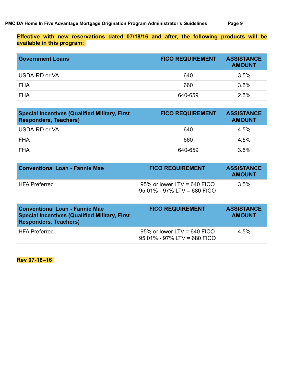**Effective with new reservations dated 07/18/16 and after, the following products will be available in this program:** 

| <b>Government Loans</b> | <b>FICO REQUIREMENT</b> | <b>ASSISTANCE</b><br><b>AMOUNT</b> |
|-------------------------|-------------------------|------------------------------------|
| USDA-RD or VA           | 640                     | 3.5%                               |
| <b>FHA</b>              | 660                     | 3.5%                               |
| <b>FHA</b>              | 640-659                 | 2.5%                               |

| <b>Special Incentives (Qualified Military, First</b><br><b>Responders, Teachers)</b> | <b>FICO REQUIREMENT</b> | <b>ASSISTANCE</b><br><b>AMOUNT</b> |
|--------------------------------------------------------------------------------------|-------------------------|------------------------------------|
| USDA-RD or VA                                                                        | 640                     | 4.5%                               |
| <b>FHA</b>                                                                           | 660                     | 4.5%                               |
| <b>FHA</b>                                                                           | 640-659                 | 3.5%                               |

| Conventional Loan - Fannie Mae | <b>FICO REQUIREMENT</b>                                       | <b>ASSISTANCE</b><br><b>AMOUNT</b> |
|--------------------------------|---------------------------------------------------------------|------------------------------------|
| HFA Preferred                  | 95% or lower LTV = 640 FICO<br>$95.01\%$ - 97% LTV = 680 FICO | $3.5\%$                            |

| <b>Conventional Loan - Fannie Mae</b><br><b>Special Incentives (Qualified Military, First</b><br><b>Responders, Teachers)</b> | <b>FICO REQUIREMENT</b>                                       | <b>ASSISTANCE</b><br><b>AMOUNT</b> |
|-------------------------------------------------------------------------------------------------------------------------------|---------------------------------------------------------------|------------------------------------|
| <b>HFA Preferred</b>                                                                                                          | 95% or lower LTV = 640 FICO<br>$95.01\%$ - 97% LTV = 680 FICO | $4.5\%$                            |

**Rev 07-18–16**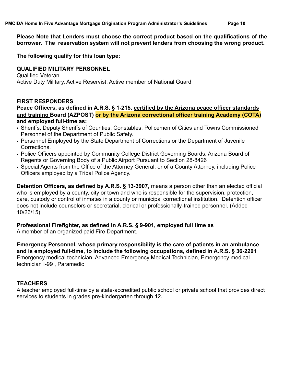**Please Note that Lenders must choose the correct product based on the qualifications of the borrower. The reservation system will not prevent lenders from choosing the wrong product.** 

**The following qualify for this loan type:** 

## **QUALIFIED MILITARY PERSONNEL**

Qualified Veteran Active Duty Military, Active Reservist, Active member of National Guard

#### **FIRST RESPONDERS**

#### **Peace Officers, as defined in A.R.S. § 1-215, certified by the Arizona peace officer standards and training Board (AZPOST) or by the Arizona correctional officer training Academy (COTA) and employed full-time as:**

- Sheriffs, Deputy Sheriffs of Counties, Constables, Policemen of Cities and Towns Commissioned Personnel of the Department of Public Safety.
- Personnel Employed by the State Department of Corrections or the Department of Juvenile **Corrections**
- Police Officers appointed by Community College District Governing Boards, Arizona Board of Regents or Governing Body of a Public Airport Pursuant to Section 28-8426
- Special Agents from the Office of the Attorney General, or of a County Attorney, including Police Officers employed by a Tribal Police Agency.

**Detention Officers, as defined by A.R.S. § 13-3907**, means a person other than an elected official who is employed by a county, city or town and who is responsible for the supervision, protection, care, custody or control of inmates in a county or municipal correctional institution. Detention officer does not include counselors or secretarial, clerical or professionally-trained personnel. (Added 10/26/15)

# **Professional Firefighter, as defined in A.R.S. § 9-901, employed full time as**

A member of an organized paid Fire Department.

**Emergency Personnel, whose primary responsibility is the care of patients in an ambulance and is employed full-time, to include the following occupations, defined in A.R.S. § 36-2201**  Emergency medical technician, Advanced Emergency Medical Technician, Emergency medical technician I-99 , Paramedic

## **TEACHERS**

A teacher employed full-time by a state-accredited public school or private school that provides direct services to students in grades pre-kindergarten through 12.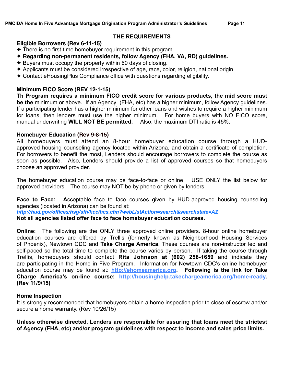#### **THE REQUIREMENTS**

## **Eligible Borrowers (Rev 6-11-15)**

- ✦ There is no first-time homebuyer requirement in this program.
- ✦ **Regarding non-permanent residents, follow Agency (FHA, VA, RD) guidelines.**
- ✦ Buyers must occupy the property within 60 days of closing.
- ✦ Applicants must be considered irrespective of age, race, color, religion, national origin
- ✦ Contact eHousingPlus Compliance office with questions regarding eligibility.

#### **Minimum FICO Score (REV 12-1-15)**

**Th Program requires a minimum FICO credit score for various products, the mid score must be the** minimum or above. If an Agency (FHA, etc) has a higher minimum, follow Agency guidelines. If a participating lender has a higher minimum for other loans and wishes to require a higher minimum for loans, then lenders must use the higher minimum. For home buyers with NO FICO score, manual underwriting **WILL NOT BE permitted.** Also, the maximum DTI ratio is 45%.

#### **Homebuyer Education (Rev 9-8-15)**

All homebuyers must attend an 8-hour homebuyer education course through a HUDapproved housing counseling agency located within Arizona, and obtain a certificate of completion. For borrowers to benefit the most, Lenders should encourage borrowers to complete the course as soon as possible. Also, Lenders should provide a list of approved courses so that homebuyers choose an approved provider.

The homebuyer education course may be face-to-face or online. USE ONLY the list below for approved providers. The course may NOT be by phone or given by lenders.

**Face to Face: A**cceptable face to face courses given by HUD-approved housing counseling agencies (located in Arizona) can be found at:

*<http://hud.gov/offices/hsg/sfh/hcc/hcs.cfm?>webListAction=search&searchstate=AZ*

**Not all agencies listed offer face to face homebuyer education courses.** 

**Online:** The following are the ONLY three approved online providers. 8-hour online homebuyer education courses are offered by Trellis (formerly known as Neighborhood Housing Services of Phoenix), Newtown CDC and **Take Charge America.** These courses are non-instructor led and self-paced so the total time to complete the course varies by person. If taking the course through Trellis, homebuyers should contact **Rita Johnson at (602) 258-1659** and indicate they are participating in the Home in Five Program. Information for Newtown CDC's online homebuyer education course may be found at: **[http://ehomeamerica.org](http://ehomeamerica.org/). Following is the link for Take Charge America's on-line course: [http://housinghelp.takechargeamerica.org/home-ready.](http://housinghelp.takechargeamerica.org/home-ready) (Rev 11/9/15)**

## **Home Inspection**

It is strongly recommended that homebuyers obtain a home inspection prior to close of escrow and/or secure a home warranty. (Rev 10/26/15)

**Unless otherwise directed, Lenders are responsible for assuring that loans meet the strictest of Agency (FHA, etc) and/or program guidelines with respect to income and sales price limits.**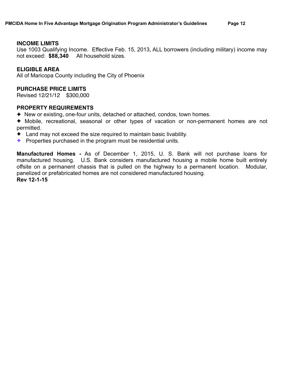#### **INCOME LIMITS**

Use 1003 Qualifying Income. Effective Feb. 15, 2013, ALL borrowers (including military) income may not exceed: **\$88,340** All household sizes.

#### **ELIGIBLE AREA**

All of Maricopa County including the City of Phoenix

#### **PURCHASE PRICE LIMITS**

Revised 12/21/12 \$300,000

#### **PROPERTY REQUIREMENTS**

- ✦ New or existing, one-four units, detached or attached, condos, town homes.
- ✦ Mobile, recreational, seasonal or other types of vacation or non-permanent homes are not permitted.
- $\triangle$  Land may not exceed the size required to maintain basic livability.
- ✦ Properties purchased in the program must be residential units.

**Manufactured Homes -** As of December 1, 2015, U. S. Bank will not purchase loans for manufactured housing. U.S. Bank considers manufactured housing a mobile home built entirely offsite on a permanent chassis that is pulled on the highway to a permanent location. Modular, panelized or prefabricated homes are not considered manufactured housing. **Rev 12-1-15**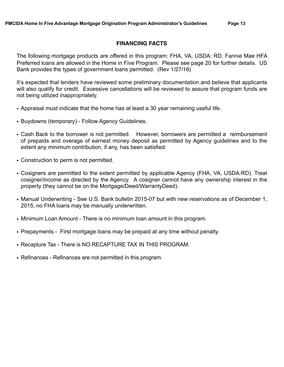#### **FINANCING FACTS**

The following mortgage products are offered in this program: FHA, VA, USDA: RD. Fannie Mae HFA Preferred loans are allowed in the Home in Five Program. Please see page 20 for further details. US Bank provides the types of government loans permitted. (Rev 1/27/16)

It's expected that lenders have reviewed some preliminary documentation and believe that applicants will also qualify for credit. Excessive cancellations will be reviewed to assure that program funds are not being utilized inappropriately.

- Appraisal must indicate that the home has at least a 30 year remaining useful life.
- Buydowns (temporary) Follow Agency Guidelines.
- Cash Back to the borrower is not permitted. However, borrowers are permitted a reimbursement of prepaids and overage of earnest money deposit as permitted by Agency guidelines and to the extent any minimum contribution, if any, has been satisfied.
- Construction to perm is not permitted.
- Cosigners are permitted to the extent permitted by applicable Agency (FHA, VA, USDA:RD). Treat cosigner/income as directed by the Agency. A cosigner cannot have any ownership interest in the property (they cannot be on the Mortgage/Deed/WarrantyDeed).
- Manual Underwriting See U.S. Bank bulletin 2015-07 but with new reservations as of December 1, 2015, no FHA loans may be manually underwritten.
- Minimum Loan Amount There is no minimum loan amount in this program.
- Prepayments First mortgage loans may be prepaid at any time without penalty.
- Recapture Tax There is NO RECAPTURE TAX IN THIS PROGRAM.
- Refinances Refinances are not permitted in this program.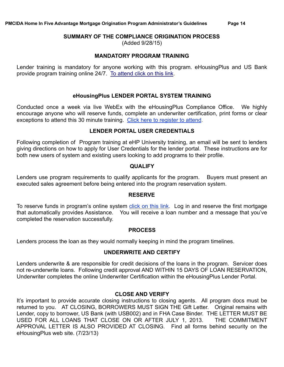#### **SUMMARY OF THE COMPLIANCE ORIGINATION PROCESS**

(Added 9/28/15)

#### **MANDATORY PROGRAM TRAINING**

Lender training is mandatory for anyone working with this program. eHousingPlus and US Bank provide program training online 24/7. [To attend click on this link.](http://www.ehpuniversity.com/phoenixmaricopa.html)

#### **eHousingPlus LENDER PORTAL SYSTEM TRAINING**

Conducted once a week via live WebEx with the eHousingPlus Compliance Office. We highly encourage anyone who will reserve funds, complete an underwriter certification, print forms or clear exceptions to attend this 30 minute training. [Click here to register to attend](http://www.ehousingplus.com/ehp-system-trainings/).

#### **LENDER PORTAL USER CREDENTIALS**

Following completion of Program training at eHP University training, an email will be sent to lenders giving directions on how to apply for User Credentials for the lender portal. These instructions are for both new users of system and existing users looking to add programs to their profile.

#### **QUALIFY**

Lenders use program requirements to qualify applicants for the program. Buyers must present an executed sales agreement before being entered into the program reservation system.

#### **RESERVE**

To reserve funds in program's online system [click on this link.](https://services.ehousingplus.com/Default.htm) Log in and reserve the first mortgage that automatically provides Assistance. You will receive a loan number and a message that you've completed the reservation successfully.

#### **PROCESS**

Lenders process the loan as they would normally keeping in mind the program timelines.

## **UNDERWRITE AND CERTIFY**

Lenders underwrite & are responsible for credit decisions of the loans in the program. Servicer does not re-underwrite loans. Following credit approval AND WITHIN 15 DAYS OF LOAN RESERVATION, Underwriter completes the online Underwriter Certification within the eHousingPlus Lender Portal.

#### **CLOSE AND VERIFY**

It's important to provide accurate closing instructions to closing agents. All program docs must be returned to you. AT CLOSING, BORROWERS MUST SIGN THE Gift Letter. Original remains with Lender, copy to borrower, US Bank (with USB002) and in FHA Case Binder. THE LETTER MUST BE USED FOR ALL LOANS THAT CLOSE ON OR AFTER JULY 1, 2013. THE COMMITMENT APPROVAL LETTER IS ALSO PROVIDED AT CLOSING. Find all forms behind security on the eHousingPlus web site. (7/23/13)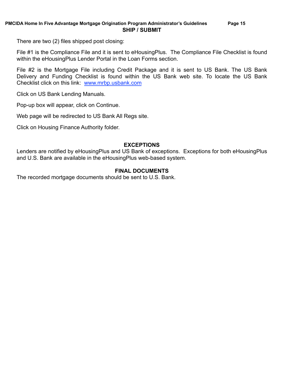There are two (2) files shipped post closing:

File #1 is the Compliance File and it is sent to eHousingPlus. The Compliance File Checklist is found within the eHousingPlus Lender Portal in the Loan Forms section.

File #2 is the Mortgage File including Credit Package and it is sent to US Bank. The US Bank Delivery and Funding Checklist is found within the US Bank web site. To locate the US Bank Checklist click on this link: [www.mrbp.usbank.com](http://www.mrbp.usbank.com)

Click on US Bank Lending Manuals.

Pop-up box will appear, click on Continue.

Web page will be redirected to US Bank All Regs site.

Click on Housing Finance Authority folder.

#### **EXCEPTIONS**

Lenders are notified by eHousingPlus and US Bank of exceptions. Exceptions for both eHousingPlus and U.S. Bank are available in the eHousingPlus web-based system.

#### **FINAL DOCUMENTS**

The recorded mortgage documents should be sent to U.S. Bank.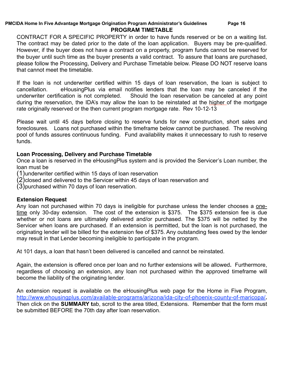#### **PMCIDA Home In Five Advantage Mortgage Origination Program Administrator's Guidelines Page 16 PROGRAM TIMETABLE**

CONTRACT FOR A SPECIFIC PROPERTY in order to have funds reserved or be on a waiting list. The contract may be dated prior to the date of the loan application. Buyers may be pre-qualified. However, if the buyer does not have a contract on a property, program funds cannot be reserved for the buyer until such time as the buyer presents a valid contract. To assure that loans are purchased, please follow the Processing, Delivery and Purchase Timetable below. Please DO NOT reserve loans that cannot meet the timetable.

If the loan is not underwriter certified within 15 days of loan reservation, the loan is subject to cancellation. eHousingPlus via email notifies lenders that the loan may be canceled if the underwriter certification is not completed. Should the loan reservation be canceled at any point during the reservation, the IDA's may allow the loan to be reinstated at the higher of the mortgage rate originally reserved or the then current program mortgage rate. Rev 10-12-13

Please wait until 45 days before closing to reserve funds for new construction, short sales and foreclosures. Loans not purchased within the timeframe below cannot be purchased. The revolving pool of funds assures continuous funding. Fund availability makes it unnecessary to rush to reserve funds.

# **Loan Processing, Delivery and Purchase Timetable**

Once a loan is reserved in the eHousingPlus system and is provided the Servicer's Loan number, the loan must be

(1)underwriter certified within 15 days of loan reservation

(2)closed and delivered to the Servicer within 45 days of loan reservation and

(3)purchased within 70 days of loan reservation.

## **Extension Request**

Any loan not purchased within 70 days is ineligible for purchase unless the lender chooses a onetime only 30-day extension. The cost of the extension is \$375. The \$375 extension fee is due whether or not loans are ultimately delivered and/or purchased. The \$375 will be netted by the Servicer when loans are purchased. If an extension is permitted, but the loan is not purchased, the originating lender will be billed for the extension fee of \$375. Any outstanding fees owed by the lender may result in that Lender becoming ineligible to participate in the program.

At 101 days, a loan that hasn't been delivered is cancelled and cannot be reinstated.

Again, the extension is offered once per loan and no further extensions will be allowed**.** Furthermore, regardless of choosing an extension, any loan not purchased within the approved timeframe will become the liability of the originating lender.

An extension request is available on the eHousingPlus web page for the Home in Five Program, http://www.ehousingplus.com/available-programs/arizona/ida-city-of-phoenix-county-of-maricopa/**.**  Then click on the **SUMMARY t**ab, scroll to the area titled, Extensions. Remember that the form must be submitted BEFORE the 70th day after loan reservation.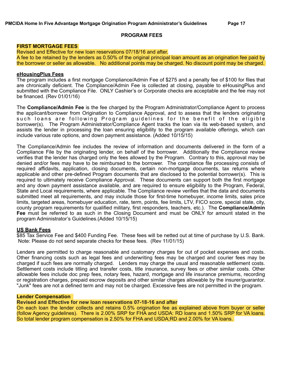#### **PROGRAM FEES**

#### **FIRST MORTGAGE FEES**

Revised and Effective for new loan reservations 07/18/16 and after. A fee to be retained by the lenders as 0.50% of the original principal loan amount as an origination fee paid by the borrower or seller as allowable. No additional points may be charged. No discount point may be charged.

#### **eHousingPlus Fees**

The program includes a first mortgage Compliance/Admin Fee of \$275 and a penalty fee of \$100 for files that are chronically deficient. The Compliance/Admin Fee is collected at closing, payable to eHousingPlus and submitted with the Compliance File. ONLY Cashier's or Corporate checks are acceptable and the fee may not be financed. (Rev 01/01/16)

The **Compliance/Admin Fee** is the fee charged by the Program Administrator/Compliance Agent to process the applicant/borrower from Origination to Compliance Approval, and to assess that the lenders originating such loans are following Program guidelines for the benefit of the eligible borrower(s). The Program Administrator/Compliance Agent tracks the loan via its web-based system, and assists the lender in processing the loan ensuring eligibility to the program available offerings, which can include various rate options, and down payment assistance. (Added 10/15/15)

The Compliance/Admin fee includes the review of information and documents delivered in the form of a Compliance File by the originating lender, on behalf of the borrower. Additionally the Compliance review verifies that the lender has charged only the fees allowed by the Program. Contrary to this, approval may be denied and/or fees may have to be reimbursed to the borrower. The compliance file processing consists of required affidavits, application, closing documents, certain non-mortgage documents, tax returns where applicable and other pre-defined Program documents that are disclosed to the potential borrower(s). This is required to ultimately receive Compliance Approval. These documents can support both the first mortgage and any down payment assistance available, and are required to ensure eligibility to the Program, Federal, State and Local requirements, where applicable. The Compliance review verifies that the data and documents submitted meet all requirements, and may include those for first-time homebuyer, income limits, sales price limits, targeted areas, homebuyer education, rate, term, points, fee limits, LTV, FICO score, special state, city, county program requirements for qualified military, first responders, teachers, etc.). The **Compliance/Admin Fee** must be referred to as such in the Closing Document and must be ONLY for amount stated in the program Administrator's Guidelines.(Added 10/15/15)

#### **US Bank Fees**

\$85 Tax Service Fee and \$400 Funding Fee. These fees will be netted out at time of purchase by U.S. Bank. Note: Please do not send separate checks for these fees. (Rev 11/01/15)

Lenders are permitted to charge reasonable and customary charges for out of pocket expenses and costs. Other financing costs such as legal fees and underwriting fees may be charged and courier fees may be charged if such fees are normally charged. Lenders may charge the usual and reasonable settlement costs. Settlement costs include titling and transfer costs, title insurance, survey fees or other similar costs. Other allowable fees include doc prep fees, notary fees, hazard, mortgage and life insurance premiums, recording or registration charges, prepaid escrow deposits and other similar charges allowable by the insurer/guarantor. "Junk" fees are not a defined term and may not be charged. Excessive fees are not permitted in the program.

#### **Lender Compensation**

#### **Revised and Effective for new loan reservations 07-18-16 and after**

On each loan the lender collects and retains 0.5% origination fee as explained above from buyer or seller (follow Agency guidelines). There is 2.00% SRP for FHA and USDA: RD loans and 1.50% SRP for VA loans. So total lender program compensation is 2.50% for FHA and USDA;RD and 2.00% for VA loans.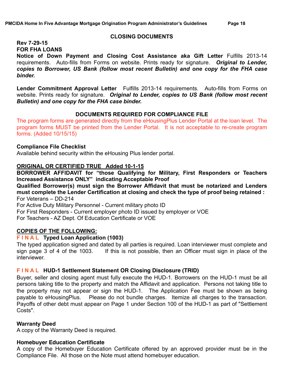#### **CLOSING DOCUMENTS**

#### **Rev 7-29-15 FOR FHA LOANS**

**Notice of Down Payment and Closing Cost Assistance aka Gift Letter** Fulfills 2013-14 requirements. Auto-fills from Forms on website. Prints ready for signature. *Original to Lender, copies to Borrower, US Bank (follow most recent Bulletin) and one copy for the FHA case binder.*

**Lender Commitment Approval Letter** Fulfills 2013-14 requirements. Auto-fills from Forms on website. Prints ready for signature. *Original to Lender, copies to US Bank (follow most recent Bulletin) and one copy for the FHA case binder.*

#### **DOCUMENTS REQUIRED FOR COMPLIANCE FILE**

The program forms are generated directly from the eHousingPlus Lender Portal at the loan level. The program forms MUST be printed from the Lender Portal. It is not acceptable to re-create program forms. (Added 10/15/15)

#### **Compliance File Checklist**

Available behind security within the eHousing Plus lender portal.

#### **ORIGINAL OR CERTIFIED TRUE Added 10-1-15**

**BORROWER AFFIDAVIT for "those Qualifying for Military, First Responders or Teachers Increased Assistance ONLY" indicating Acceptable Proof** 

**Qualified Borrower(s) must sign the Borrower Affidavit that must be notarized and Lenders must complete the Lender Certification at closing and check the type of proof being retained :**  For Veterans – DD-214

For Active Duty Military Personnel - Current military photo ID

For First Responders - Current employer photo ID issued by employer or VOE

For Teachers - AZ Dept. Of Education Certificate or VOE

## **COPIES OF THE FOLLOWING:**

#### **F I N A L Typed Loan Application (1003)**

The typed application signed and dated by all parties is required. Loan interviewer must complete and sign page 3 of 4 of the 1003. If this is not possible, then an Officer must sign in place of the interviewer.

#### **F I N A L HUD-1 Settlement Statement OR Closing Disclosure (TRID)**

Buyer, seller and closing agent must fully execute the HUD-1. Borrowers on the HUD-1 must be all persons taking title to the property and match the Affidavit and application. Persons not taking title to the property may not appear or sign the HUD-1. The Application Fee must be shown as being payable to eHousingPlus. Please do not bundle charges. Itemize all charges to the transaction. Payoffs of other debt must appear on Page 1 under Section 100 of the HUD-1 as part of "Settlement Costs".

#### **Warranty Deed**

A copy of the Warranty Deed is required.

#### **Homebuyer Education Certificate**

A copy of the Homebuyer Education Certificate offered by an approved provider must be in the Compliance File. All those on the Note must attend homebuyer education.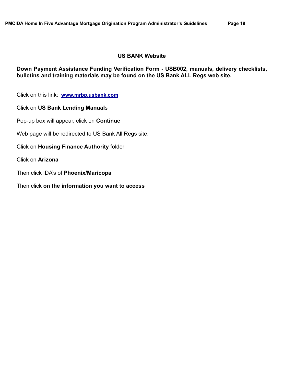#### **US BANK Website**

**Down Payment Assistance Funding Verification Form - USB002, manuals, delivery checklists, bulletins and training materials may be found on the US Bank ALL Regs web site.** 

Click on this link: **[www.mrbp.usbank.com](http://www.mrbp.usbank.com)**

Click on **US Bank Lending Manual**s

Pop-up box will appear, click on **Continue**

Web page will be redirected to US Bank All Regs site.

Click on **Housing Finance Authority** folder

Click on **Arizona** 

Then click IDA's of **Phoenix/Maricopa** 

Then click **on the information you want to access**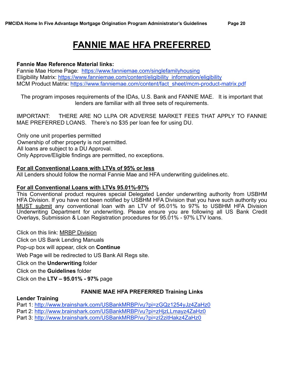# **FANNIE MAE HFA PREFERRED**

#### **Fannie Mae Reference Material links:**

Fannie Mae Home Page:<https://www.fanniemae.com/singlefamilyhousing> Eligibility Matrix: [https://www.fanniemae.com/content/eligibility\\_information/eligibility](https://www.fanniemae.com/content/eligibility_information/eligibility) MCM Product Matrix: [https://www.fanniemae.com/content/fact\\_sheet/mcm-product-matrix.pdf](https://www.fanniemae.com/content/fact_sheet/mcm)

The program imposes requirements of the IDAs, U.S. Bank and FANNIE MAE. It is important that lenders are familiar with all three sets of requirements.

IMPORTANT: THERE ARE NO LLPA OR ADVERSE MARKET FEES THAT APPLY TO FANNIE MAE PREFERRED LOANS. There's no \$35 per loan fee for using DU.

 Only one unit properties permitted Ownership of other property is not permitted. All loans are subject to a DU Approval. Only Approve/Eligible findings are permitted, no exceptions.

#### **For all Conventional Loans with LTVs of 95% or less**

All Lenders should follow the normal Fannie Mae and HFA underwriting guidelines.etc.

#### **For all Conventional Loans with LTVs 95.01%-97%**

This Conventional product requires special Delegated Lender underwriting authority from USBHM HFA Division. If you have not been notified by USBHM HFA Division that you have such authority you MUST submit any conventional loan with an LTV of 95.01% to 97% to USBHM HFA Division Underwriting Department for underwriting. Please ensure you are following all US Bank Credit Overlays, Submission & Loan Registration procedures for 95.01% - 97% LTV loans.

Click on this link: [MRBP Division](http://www.mrbp.usbank.com/cgi_w/cfm/personal/products_and_services/mortgages/mrbp_division.cfm) Click on US Bank Lending Manuals Pop-up box will appear, click on **Continue** Web Page will be redirected to US Bank All Regs site. Click on the **Underwriting** folder Click on the **Guidelines** folder Click on the **LTV – 95.01% - 97%** page

## **FANNIE MAE HFA PREFERRED Training Links**

#### **Lender Training**

Part 1: <http://www.brainshark.com/USBankMRBP/vu?pi=zGQz1254yJz4ZaHz0>

Part 2: <http://www.brainshark.com/USBankMRBP/vu?pi=zHjzLLmayz4ZaHz0>

Part 3: <http://www.brainshark.com/USBankMRBP/vu?pi=zI2zitHakz4ZaHz0>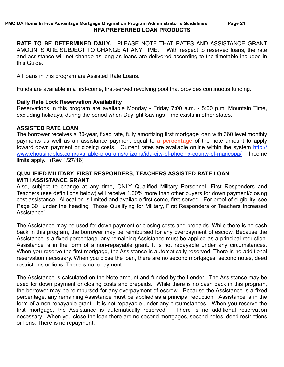#### **PMCIDA Home In Five Advantage Mortgage Origination Program Administrator's Guidelines Page 21 HFA PREFERRED LOAN PRODUCTS**

**RATE TO BE DETERMINED DAILY.** PLEASE NOTE THAT RATES AND ASSISTANCE GRANT AMOUNTS ARE SUBJECT TO CHANGE AT ANY TIME. With respect to reserved loans, the rate and assistance will not change as long as loans are delivered according to the timetable included in this Guide.

All loans in this program are Assisted Rate Loans.

Funds are available in a first-come, first-served revolving pool that provides continuous funding.

#### **Daily Rate Lock Reservation Availability**

Reservations in this program are available Monday - Friday 7:00 a.m. - 5:00 p.m. Mountain Time, excluding holidays, during the period when Daylight Savings Time exists in other states.

#### **ASSISTED RATE LOAN**

The borrower receives a 30-year, fixed rate, fully amortizing first mortgage loan with 360 level monthly payments as well as an assistance payment equal to **a percentage** of the note amount to apply [toward down payment or closing costs. Current rates are available online within the system http://](http://www.ehousingplus.com/available-programs/arizona/ida-city-of-phoenix-county-of-maricopa/) www.ehousingplus.com/available-programs/arizona/ida-city-of-phoenix-county-of-maricopa/ Income limits apply. (Rev 1/27/16)

#### **QUALIFIED MILITARY, FIRST RESPONDERS, TEACHERS ASSISTED RATE LOAN WITH ASSISTANCE GRANT**

Also, subject to change at any time, ONLY Qualified Military Personnel, First Responders and Teachers (see definitions below) will receive 1.00% more than other buyers for down payment/closing cost assistance. Allocation is limited and available first-come, first-served. For proof of eligibility, see Page 30 under the heading "Those Qualifying for Military, First Responders or Teachers Increased Assistance".

The Assistance may be used for down payment or closing costs and prepaids. While there is no cash back in this program, the borrower may be reimbursed for any overpayment of escrow. Because the Assistance is a fixed percentage, any remaining Assistance must be applied as a principal reduction. Assistance is in the form of a non-repayable grant. It is not repayable under any circumstances. When you reserve the first mortgage, the Assistance is automatically reserved. There is no additional reservation necessary. When you close the loan, there are no second mortgages, second notes, deed restrictions or liens. There is no repayment.

The Assistance is calculated on the Note amount and funded by the Lender. The Assistance may be used for down payment or closing costs and prepaids. While there is no cash back in this program, the borrower may be reimbursed for any overpayment of escrow. Because the Assistance is a fixed percentage, any remaining Assistance must be applied as a principal reduction. Assistance is in the form of a non-repayable grant. It is not repayable under any circumstances. When you reserve the first mortgage, the Assistance is automatically reserved. There is no additional reservation necessary. When you close the loan there are no second mortgages, second notes, deed restrictions or liens. There is no repayment.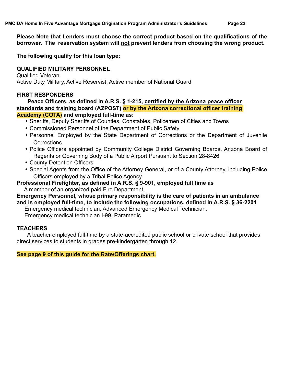**Please Note that Lenders must choose the correct product based on the qualifications of the borrower. The reservation system will not prevent lenders from choosing the wrong product.** 

**The following qualify for this loan type:** 

# **QUALIFIED MILITARY PERSONNEL**

Qualified Veteran Active Duty Military, Active Reservist, Active member of National Guard

# **FIRST RESPONDERS**

 **Peace Officers, as defined in A.R.S. § 1-215, certified by the Arizona peace officer standards and training board (AZPOST) or by the Arizona correctional officer training Academy (COTA) and employed full-time as:**

- Sheriffs, Deputy Sheriffs of Counties, Constables, Policemen of Cities and Towns
- Commissioned Personnel of the Department of Public Safety
- Personnel Employed by the State Department of Corrections or the Department of Juvenile **Corrections**
- Police Officers appointed by Community College District Governing Boards, Arizona Board of Regents or Governing Body of a Public Airport Pursuant to Section 28-8426
- County Detention Officers
- Special Agents from the Office of the Attorney General, or of a County Attorney, including Police Officers employed by a Tribal Police Agency

**Professional Firefighter, as defined in A.R.S. § 9-901, employed full time as**  A member of an organized paid Fire Department

# **Emergency Personnel, whose primary responsibility is the care of patients in an ambulance and is employed full-time, to include the following occupations, defined in A.R.S. § 36-2201**

Emergency medical technician, Advanced Emergency Medical Technician,

Emergency medical technician I-99, Paramedic

## **TEACHERS**

 A teacher employed full-time by a state-accredited public school or private school that provides direct services to students in grades pre-kindergarten through 12.

**See page 9 of this guide for the Rate/Offerings chart.**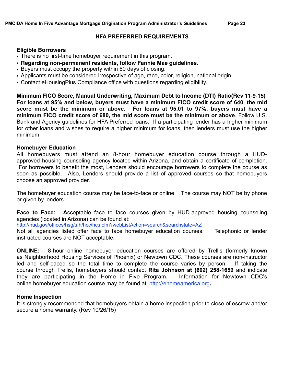#### **HFA PREFERRED REQUIREMENTS**

#### **Eligible Borrowers**

- There is no first-time homebuyer requirement in this program.
- **• Regarding non-permanent residents, follow Fannie Mae guidelines.**
- Buyers must occupy the property within 60 days of closing.
- Applicants must be considered irrespective of age, race, color, religion, national origin
- Contact eHousingPlus Compliance office with questions regarding eligibility.

**Minimum FICO Score, Manual Underwriting, Maximum Debt to Income (DTI) Ratio(Rev 11-9-15) For loans at 95% and below, buyers must have a minimum FICO credit score of 640, the mid score must be the minimum or above. For loans at 95.01 to 97%, buyers must have a minimum FICO credit score of 680, the mid score must be the minimum or above**. Follow U.S. Bank and Agency guidelines for HFA Preferred loans. If a participating lender has a higher minimum for other loans and wishes to require a higher minimum for loans, then lenders must use the higher minimum.

#### **Homebuyer Education**

All homebuyers must attend an 8-hour homebuyer education course through a HUDapproved housing counseling agency located within Arizona, and obtain a certificate of completion. For borrowers to benefit the most, Lenders should encourage borrowers to complete the course as soon as possible. Also, Lenders should provide a list of approved courses so that homebuyers choose an approved provider.

The homebuyer education course may be face-to-face or online. The course may NOT be by phone or given by lenders.

**Face to Face: A**cceptable face to face courses given by HUD-approved housing counseling agencies (located in Arizona) can be found at:

<http://hud.gov/offices/hsg/sfh/hcc/hcs.cfm?webListAction=search&searchstate=AZ>

Not all agencies listed offer face to face homebuyer education courses. Telephonic or lender instructed courses are NOT acceptable.

**ONLINE:** 8-hour online homebuyer education courses are offered by Trellis (formerly known as Neighborhood Housing Services of Phoenix) or Newtown CDC. These courses are non-instructor led and self-paced so the total time to complete the course varies by person. If taking the course through Trellis, homebuyers should contact **Rita Johnson at (602) 258-1659** and indicate they are participating in the Home in Five Program. Information for Newtown CDC's online homebuyer education course may be found at: [http://ehomeamerica.org](http://ehomeamerica.org/)**.**

## **Home Inspection**

It is strongly recommended that homebuyers obtain a home inspection prior to close of escrow and/or secure a home warranty. (Rev 10/26/15)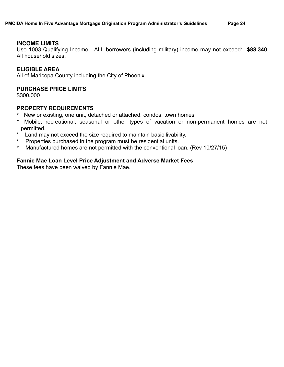#### **INCOME LIMITS**

Use 1003 Qualifying Income. ALL borrowers (including military) income may not exceed: **\$88,340**  All household sizes.

#### **ELIGIBLE AREA**

All of Maricopa County including the City of Phoenix.

#### **PURCHASE PRICE LIMITS**

\$300,000

#### **PROPERTY REQUIREMENTS**

- \* New or existing, one unit, detached or attached, condos, town homes
- \* Mobile, recreational, seasonal or other types of vacation or non-permanent homes are not permitted.<br><sup>\*</sup> <sup>I</sup> and ma
- Land may not exceed the size required to maintain basic livability.
- \* Properties purchased in the program must be residential units.
- \* Manufactured homes are not permitted with the conventional loan. (Rev 10/27/15)

#### **Fannie Mae Loan Level Price Adjustment and Adverse Market Fees**

These fees have been waived by Fannie Mae.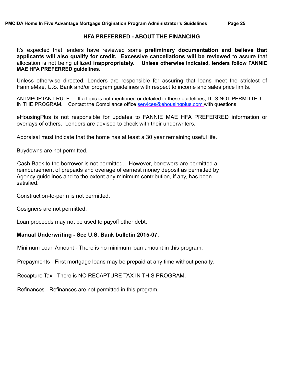#### **HFA PREFERRED - ABOUT THE FINANCING**

It's expected that lenders have reviewed some **preliminary documentation and believe that applicants will also qualify for credit. Excessive cancellations will be reviewed** to assure that allocation is not being utilized **inappropriately. Unless otherwise indicated, lenders follow FANNIE MAE HFA PREFERRED guidelines.**

Unless otherwise directed, Lenders are responsible for assuring that loans meet the strictest of FannieMae, U.S. Bank and/or program guidelines with respect to income and sales price limits.

AN IMPORTANT RULE — If a topic is not mentioned or detailed in these guidelines, IT IS NOT PERMITTED IN THE PROGRAM. Contact the Compliance office [services@ehousingplus.com w](mailto:services@ehousingplus.com?subject=Home%20in%20Five%20Program%20Question)ith questions.

eHousingPlus is not responsible for updates to FANNIE MAE HFA PREFERRED information or overlays of others. Lenders are advised to check with their underwriters.

Appraisal must indicate that the home has at least a 30 year remaining useful life.

Buydowns are not permitted.

 Cash Back to the borrower is not permitted. However, borrowers are permitted a reimbursement of prepaids and overage of earnest money deposit as permitted by Agency guidelines and to the extent any minimum contribution, if any, has been satisfied.

Construction-to-perm is not permitted.

Cosigners are not permitted.

Loan proceeds may not be used to payoff other debt.

#### **Manual Underwriting - See U.S. Bank bulletin 2015-07.**

Minimum Loan Amount - There is no minimum loan amount in this program.

Prepayments - First mortgage loans may be prepaid at any time without penalty.

Recapture Tax - There is NO RECAPTURE TAX IN THIS PROGRAM.

Refinances - Refinances are not permitted in this program.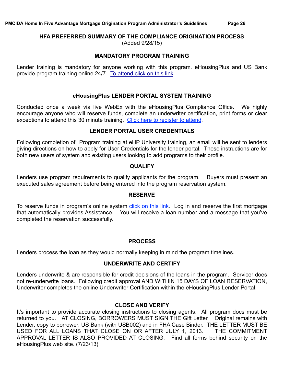# **HFA PREFERRED SUMMARY OF THE COMPLIANCE ORIGINATION PROCESS**

(Added 9/28/15)

#### **MANDATORY PROGRAM TRAINING**

Lender training is mandatory for anyone working with this program. eHousingPlus and US Bank provide program training online 24/7. [To attend click on this link.](http://www.ehpuniversity.com/phoenixmaricopa.html)

#### **eHousingPlus LENDER PORTAL SYSTEM TRAINING**

Conducted once a week via live WebEx with the eHousingPlus Compliance Office. We highly encourage anyone who will reserve funds, complete an underwriter certification, print forms or clear exceptions to attend this 30 minute training. [Click here to register to attend](http://www.ehousingplus.com/ehp-system-trainings/).

#### **LENDER PORTAL USER CREDENTIALS**

Following completion of Program training at eHP University training, an email will be sent to lenders giving directions on how to apply for User Credentials for the lender portal. These instructions are for both new users of system and existing users looking to add programs to their profile.

#### **QUALIFY**

Lenders use program requirements to qualify applicants for the program. Buyers must present an executed sales agreement before being entered into the program reservation system.

#### **RESERVE**

To reserve funds in program's online system *click on this link*. Log in and reserve the first mortgage that automatically provides Assistance. You will receive a loan number and a message that you've completed the reservation successfully.

#### **PROCESS**

Lenders process the loan as they would normally keeping in mind the program timelines.

## **UNDERWRITE AND CERTIFY**

Lenders underwrite & are responsible for credit decisions of the loans in the program. Servicer does not re-underwrite loans. Following credit approval AND WITHIN 15 DAYS OF LOAN RESERVATION, Underwriter completes the online Underwriter Certification within the eHousingPlus Lender Portal.

## **CLOSE AND VERIFY**

It's important to provide accurate closing instructions to closing agents. All program docs must be returned to you. AT CLOSING, BORROWERS MUST SIGN THE Gift Letter. Original remains with Lender, copy to borrower, US Bank (with USB002) and in FHA Case Binder. THE LETTER MUST BE USED FOR ALL LOANS THAT CLOSE ON OR AFTER JULY 1, 2013. THE COMMITMENT APPROVAL LETTER IS ALSO PROVIDED AT CLOSING. Find all forms behind security on the eHousingPlus web site. (7/23/13)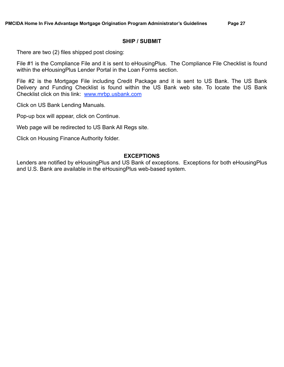#### **SHIP / SUBMIT**

There are two (2) files shipped post closing:

File #1 is the Compliance File and it is sent to eHousingPlus. The Compliance File Checklist is found within the eHousingPlus Lender Portal in the Loan Forms section.

File #2 is the Mortgage File including Credit Package and it is sent to US Bank. The US Bank Delivery and Funding Checklist is found within the US Bank web site. To locate the US Bank Checklist click on this link: [www.mrbp.usbank.com](http://www.mrbp.usbank.com)

Click on US Bank Lending Manuals.

Pop-up box will appear, click on Continue.

Web page will be redirected to US Bank All Regs site.

Click on Housing Finance Authority folder.

#### **EXCEPTIONS**

Lenders are notified by eHousingPlus and US Bank of exceptions. Exceptions for both eHousingPlus and U.S. Bank are available in the eHousingPlus web-based system.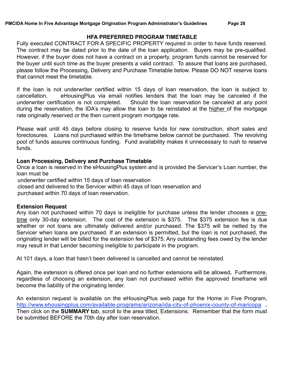#### **HFA PREFERRED PROGRAM TIMETABLE**

Fully executed CONTRACT FOR A SPECIFIC PROPERTY required in order to have funds reserved. The contract may be dated prior to the date of the loan application. Buyers may be pre-qualified. However, if the buyer does not have a contract on a property, program funds cannot be reserved for the buyer until such time as the buyer presents a valid contract. To assure that loans are purchased, please follow the Processing, Delivery and Purchase Timetable below. Please DO NOT reserve loans that cannot meet the timetable.

If the loan is not underwriter certified within 15 days of loan reservation, the loan is subject to cancellation. eHousingPlus via email notifies lenders that the loan may be canceled if the underwriter certification is not completed. Should the loan reservation be canceled at any point during the reservation, the IDA's may allow the loan to be reinstated at the higher of the mortgage rate originally reserved or the then current program mortgage rate.

Please wait until 45 days before closing to reserve funds for new construction, short sales and foreclosures. Loans not purchased within the timeframe below cannot be purchased. The revolving pool of funds assures continuous funding. Fund availability makes it unnecessary to rush to reserve funds.

#### **Loan Processing, Delivery and Purchase Timetable**

Once a loan is reserved in the eHousingPlus system and is provided the Servicer's Loan number, the loan must be

underwriter certified within 15 days of loan reservation

closed and delivered to the Servicer within 45 days of loan reservation and

purchased within 70 days of loan reservation.

#### **Extension Request**

Any loan not purchased within 70 days is ineligible for purchase unless the lender chooses a onetime only 30-day extension. The cost of the extension is \$375. The \$375 extension fee is due whether or not loans are ultimately delivered and/or purchased. The \$375 will be netted by the Servicer when loans are purchased. If an extension is permitted, but the loan is not purchased, the originating lender will be billed for the extension fee of \$375. Any outstanding fees owed by the lender may result in that Lender becoming ineligible to participate in the program.

At 101 days, a loan that hasn't been delivered is cancelled and cannot be reinstated.

Again, the extension is offered once per loan and no further extensions will be allowed**.** Furthermore, regardless of choosing an extension, any loan not purchased within the approved timeframe will become the liability of the originating lender.

An extension request is available on the eHousingPlus web page for the Home in Five Program, <http://www.ehousingplus.com/available-programs/arizona/ida-city-of-phoenix-county-of-maricopa> **.**  Then click on the **SUMMARY t**ab, scroll to the area titled, Extensions. Remember that the form must be submitted BEFORE the 70th day after loan reservation.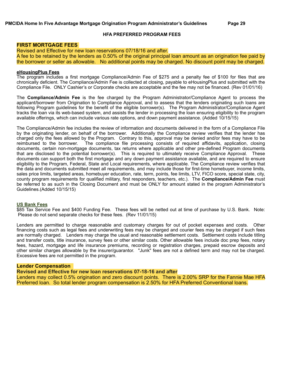#### **HFA PREFERRED PROGRAM FEES**

#### **FIRST MORTGAGE FEES**

Revised and Effective for new loan reservations 07/18/16 and after. A fee to be retained by the lenders as 0.50% of the original principal loan amount as an origination fee paid by the borrower or seller as allowable. No additional points may be charged. No discount point may be charged.

#### **eHousingPlus Fees**

The program includes a first mortgage Compliance/Admin Fee of \$275 and a penalty fee of \$100 for files that are chronically deficient. The Compliance/Admin Fee is collected at closing, payable to eHousingPlus and submitted with the Compliance File. ONLY Cashier's or Corporate checks are acceptable and the fee may not be financed. (Rev 01/01/16)

The **Compliance/Admin Fee** is the fee charged by the Program Administrator/Compliance Agent to process the applicant/borrower from Origination to Compliance Approval, and to assess that the lenders originating such loans are following Program guidelines for the benefit of the eligible borrower(s). The Program Administrator/Compliance Agent tracks the loan via its web-based system, and assists the lender in processing the loan ensuring eligibility to the program available offerings, which can include various rate options, and down payment assistance. (Added 10/15/15)

The Compliance/Admin fee includes the review of information and documents delivered in the form of a Compliance File by the originating lender, on behalf of the borrower. Additionally the Compliance review verifies that the lender has charged only the fees allowed by the Program. Contrary to this, approval may be denied and/or fees may have to be reimbursed to the borrower. The compliance file processing consists of required affidavits, application, closing documents, certain non-mortgage documents, tax returns where applicable and other pre-defined Program documents that are disclosed to the potential borrower(s). This is required to ultimately receive Compliance Approval. These documents can support both the first mortgage and any down payment assistance available, and are required to ensure eligibility to the Program, Federal, State and Local requirements, where applicable. The Compliance review verifies that the data and documents submitted meet all requirements, and may include those for first-time homebuyer, income limits, sales price limits, targeted areas, homebuyer education, rate, term, points, fee limits, LTV, FICO score, special state, city, county program requirements for qualified military, first responders, teachers, etc.). The **Compliance/Admin Fee** must be referred to as such in the Closing Document and must be ONLY for amount stated in the program Administrator's Guidelines.(Added 10/15/15)

#### **US Bank Fees**

\$85 Tax Service Fee and \$400 Funding Fee. These fees will be netted out at time of purchase by U.S. Bank. Note: Please do not send separate checks for these fees. (Rev 11/01/15)

Lenders are permitted to charge reasonable and customary charges for out of pocket expenses and costs. Other financing costs such as legal fees and underwriting fees may be charged and courier fees may be charged if such fees are normally charged. Lenders may charge the usual and reasonable settlement costs. Settlement costs include titling and transfer costs, title insurance, survey fees or other similar costs. Other allowable fees include doc prep fees, notary fees, hazard, mortgage and life insurance premiums, recording or registration charges, prepaid escrow deposits and other similar charges allowable by the insurer/guarantor. "Junk" fees are not a defined term and may not be charged. Excessive fees are not permitted in the program.

#### **Lender Compensation**

**Revised and Effective for new loan reservations 07-18-16 and after**

Lenders may collect 0.5% origination and zero discount points. There is 2.00% SRP for the Fannie Mae HFA Preferred loan. So total lender program compensation is 2.50% for HFA Preferred Conventional loans.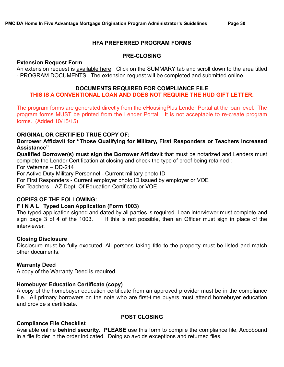#### **HFA PREFERRED PROGRAM FORMS**

#### **PRE-CLOSING**

#### **Extension Request Form**

An extension request is [available here.](http://www.ehousingplus.com/available-programs/oklahoma/oklahoma-county/) Click on the SUMMARY tab and scroll down to the area titled - PROGRAM DOCUMENTS. The extension request will be completed and submitted online.

#### **DOCUMENTS REQUIRED FOR COMPLIANCE FILE**

# **THIS IS A CONVENTIONAL LOAN AND DOES NOT REQUIRE THE HUD GIFT LETTER.**

The program forms are generated directly from the eHousingPlus Lender Portal at the loan level. The program forms MUST be printed from the Lender Portal. It is not acceptable to re-create program forms. (Added 10/15/15)

#### **ORIGINAL OR CERTIFIED TRUE COPY OF:**

**Borrower Affidavit for "Those Qualifying for Military, First Responders or Teachers Increased Assistance"** 

**Qualified Borrower(s) must sign the Borrower Affidavit** that must be notarized and Lenders must complete the Lender Certification at closing and check the type of proof being retained : For Veterans – DD-214 For Active Duty Military Personnel - Current military photo ID

For First Responders - Current employer photo ID issued by employer or VOE

For Teachers – AZ Dept. Of Education Certificate or VOE

#### **COPIES OF THE FOLLOWING:**

#### **F I N A L Typed Loan Application (Form 1003)**

The typed application signed and dated by all parties is required. Loan interviewer must complete and sign page 3 of 4 of the 1003. If this is not possible, then an Officer must sign in place of the interviewer.

#### **Closing Disclosure**

Disclosure must be fully executed. All persons taking title to the property must be listed and match other documents.

#### **Warranty Deed**

A copy of the Warranty Deed is required.

#### **Homebuyer Education Certificate (copy)**

A copy of the homebuyer education certificate from an approved provider must be in the compliance file. All primary borrowers on the note who are first-time buyers must attend homebuyer education and provide a certificate.

#### **Compliance File Checklist**

**POST CLOSING** 

Available online **behind security. PLEASE** use this form to compile the compliance file, Accobound in a file folder in the order indicated. Doing so avoids exceptions and returned files.